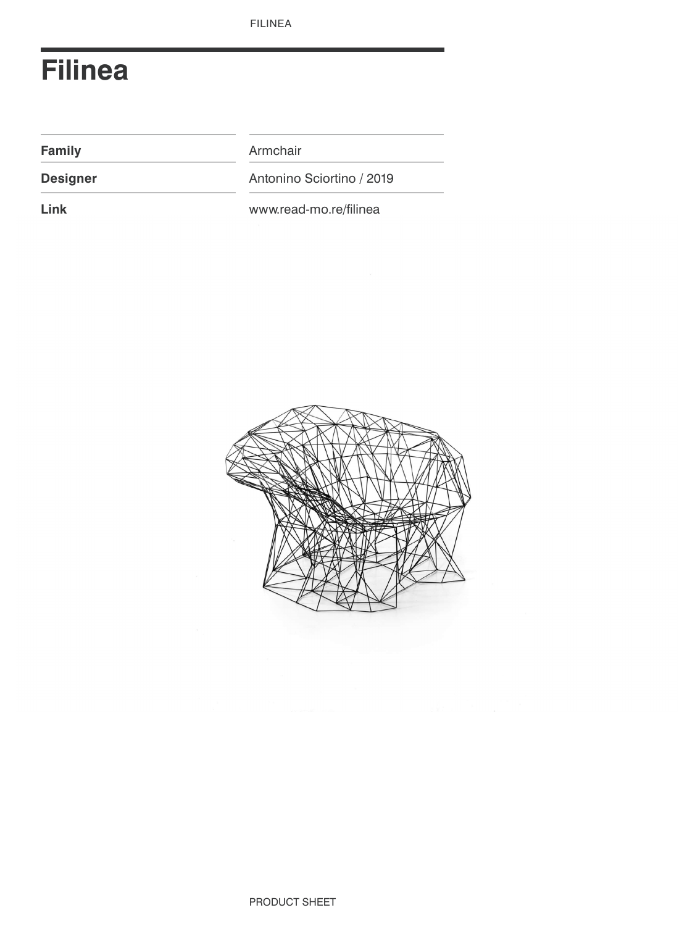# **Filinea**

**Family Armchair** 

**Designer** Antonino Sciortino / 2019

Link **Link** www.read-mo.re/filinea

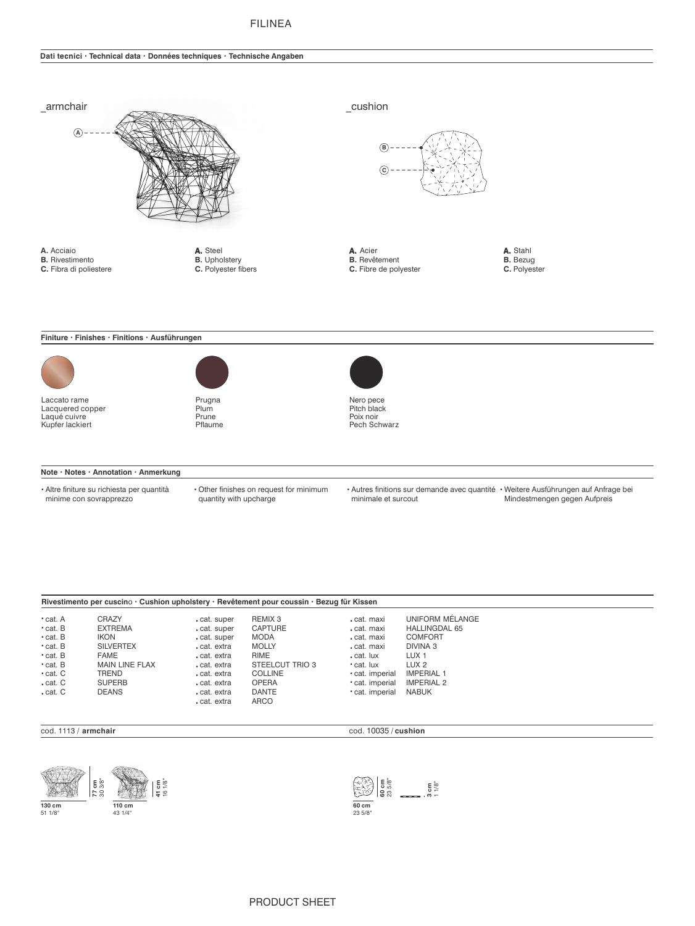# **FILINEA**

### Dati tecnici · Technical data · Données techniques · Technische Angaben



| • cat. A                   | <b>CRAZY</b>                          | cat. super               | REMIX 3                                     | cat. maxi                          | UNIFORM MÉLANGE                        |  |
|----------------------------|---------------------------------------|--------------------------|---------------------------------------------|------------------------------------|----------------------------------------|--|
| • cat. B<br>$\cdot$ cat. B | <b>EXTREMA</b><br>IKON                | cat. super<br>cat. super | <b>CAPTURE</b><br>MODA                      | cat. maxi<br>cat. maxi             | <b>HALLINGDAL 65</b><br><b>COMFORT</b> |  |
| • cat. B<br>• cat. B       | <b>SILVERTEX</b><br><b>FAME</b>       | cat. extra<br>cat. extra | <b>MOLLY</b><br>RIME                        | cat. maxi<br>. cat. lux            | DIVINA 3<br>LUX <sub>1</sub>           |  |
| • cat. B<br>• cat. C       | <b>MAIN LINE FLAX</b><br><b>TREND</b> | cat. extra<br>cat. extra | STEELCUT TRIO 3<br><b>COLLINE</b>           | • cat. lux<br>• cat. imperial      | LUX <sub>2</sub><br><b>IMPERIAL 1</b>  |  |
| cat. C<br>. cat. C         | <b>SUPERB</b><br><b>DEANS</b>         | cat. extra<br>cat. extra | <b>OPERA</b><br><b>DANTE</b><br><b>ARCO</b> | · cat. imperial<br>· cat. imperial | <b>IMPERIAL 2</b><br><b>NABUK</b>      |  |
|                            |                                       | cat. extra               |                                             |                                    |                                        |  |

#### cod. 1113 / armchair





cod. 10035 / cushion